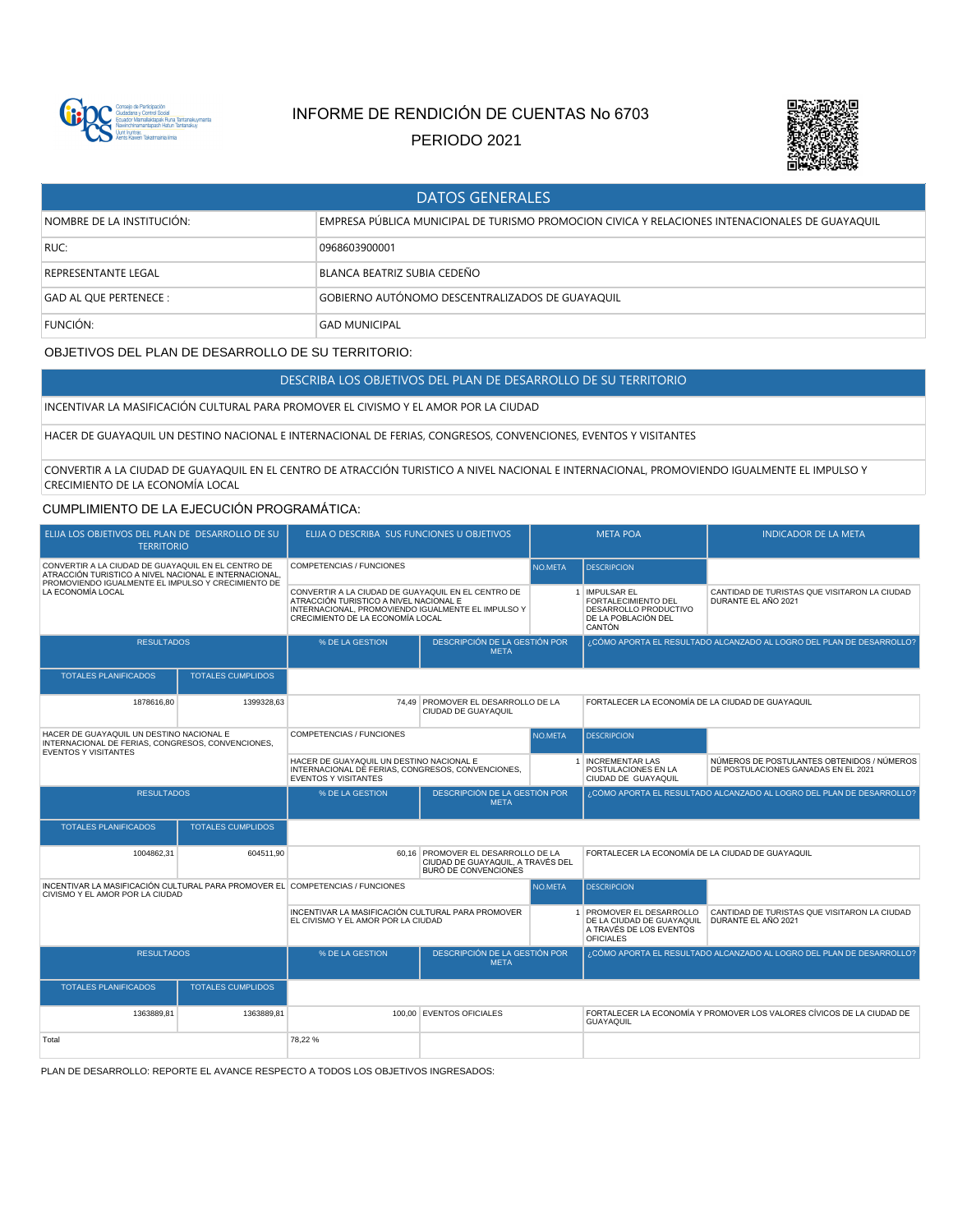

# INFORME DE RENDICIÓN DE CUENTAS No 6703

PERIODO 2021



| <b>DATOS GENERALES</b>     |                                                                                                |  |  |  |  |
|----------------------------|------------------------------------------------------------------------------------------------|--|--|--|--|
| NOMBRE DE LA INSTITUCIÓN:  | EMPRESA PÚBLICA MUNICIPAL DE TURISMO PROMOCION CIVICA Y RELACIONES INTENACIONALES DE GUAYAQUIL |  |  |  |  |
| RUC:                       | 0968603900001                                                                                  |  |  |  |  |
| <b>REPRESENTANTE LEGAL</b> | BLANCA BEATRIZ SUBIA CEDEÑO                                                                    |  |  |  |  |
| GAD AL QUE PERTENECE :     | GOBIERNO AUTÓNOMO DESCENTRALIZADOS DE GUAYAQUIL                                                |  |  |  |  |
| FUNCIÓN:                   | <b>GAD MUNICIPAL</b>                                                                           |  |  |  |  |

# OBJETIVOS DEL PLAN DE DESARROLLO DE SU TERRITORIO:

DESCRIBA LOS OBJETIVOS DEL PLAN DE DESARROLLO DE SU TERRITORIO

### INCENTIVAR LA MASIFICACIÓN CULTURAL PARA PROMOVER EL CIVISMO Y EL AMOR POR LA CIUDAD

HACER DE GUAYAQUIL UN DESTINO NACIONAL E INTERNACIONAL DE FERIAS, CONGRESOS, CONVENCIONES, EVENTOS Y VISITANTES

CONVERTIR A LA CIUDAD DE GUAYAQUIL EN EL CENTRO DE ATRACCIÓN TURISTICO A NIVEL NACIONAL E INTERNACIONAL, PROMOVIENDO IGUALMENTE EL IMPULSO Y CRECIMIENTO DE LA ECONOMÍA LOCAL

### CUMPLIMIENTO DE LA EJECUCIÓN PROGRAMÁTICA:

| ELIJA LOS OBJETIVOS DEL PLAN DE DESARROLLO DE SU<br><b>TERRITORIO</b>                                                                                             |                          | ELIJA O DESCRIBA SUS FUNCIONES U OBJETIVOS                                                                                                                                             |                                                                                           |                    | <b>META POA</b>                                                                                | <b>INDICADOR DE LA META</b>                                                       |
|-------------------------------------------------------------------------------------------------------------------------------------------------------------------|--------------------------|----------------------------------------------------------------------------------------------------------------------------------------------------------------------------------------|-------------------------------------------------------------------------------------------|--------------------|------------------------------------------------------------------------------------------------|-----------------------------------------------------------------------------------|
| CONVERTIR A LA CIUDAD DE GUAYAQUIL EN EL CENTRO DE<br>ATRACCIÓN TURISTICO A NIVEL NACIONAL E INTERNACIONAL.<br>PROMOVIENDO IGUALMENTE EL IMPULSO Y CRECIMIENTO DE |                          | COMPETENCIAS / FUNCIONES                                                                                                                                                               | <b>NO META</b>                                                                            | <b>DESCRIPCION</b> |                                                                                                |                                                                                   |
| LA ECONOMÍA LOCAL                                                                                                                                                 |                          | CONVERTIR A LA CIUDAD DE GUAYAQUIL EN EL CENTRO DE<br>ATRACCIÓN TURISTICO A NIVEL NACIONAL E<br>INTERNACIONAL, PROMOVIENDO IGUALMENTE EL IMPULSO Y<br>CRECIMIENTO DE LA ECONOMÍA LOCAL |                                                                                           |                    | 1 IMPULSAR EL<br>FORTALECIMIENTO DEL<br>DESARROLLO PRODUCTIVO<br>DE LA POBLACIÓN DEL<br>CANTÓN | CANTIDAD DE TURISTAS QUE VISITARON LA CIUDAD<br>DURANTE EL AÑO 2021               |
| <b>RESULTADOS</b>                                                                                                                                                 |                          | % DE LA GESTION                                                                                                                                                                        | <b>DESCRIPCIÓN DE LA GESTIÓN POR</b><br><b>META</b>                                       |                    |                                                                                                | ¿CÓMO APORTA EL RESULTADO ALCANZADO AL LOGRO DEL PLAN DE DESARROLLO?              |
| <b>TOTALES PLANIFICADOS</b>                                                                                                                                       | <b>TOTALES CUMPLIDOS</b> |                                                                                                                                                                                        |                                                                                           |                    |                                                                                                |                                                                                   |
| 1878616.80                                                                                                                                                        | 1399328.63               |                                                                                                                                                                                        | 74.49 PROMOVER EL DESARROLLO DE LA<br>CIUDAD DE GUAYAQUIL                                 |                    | FORTALECER LA ECONOMÍA DE LA CIUDAD DE GUAYAQUIL                                               |                                                                                   |
| HACER DE GUAYAQUIL UN DESTINO NACIONAL E<br>INTERNACIONAL DE FERIAS, CONGRESOS, CONVENCIONES.<br><b>EVENTOS Y VISITANTES</b>                                      |                          | COMPETENCIAS / FUNCIONES                                                                                                                                                               |                                                                                           | <b>NO META</b>     | <b>DESCRIPCION</b>                                                                             |                                                                                   |
|                                                                                                                                                                   |                          | HACER DE GUAYAQUIL UN DESTINO NACIONAL E<br>INTERNACIONAL DE FERIAS, CONGRESOS, CONVENCIONES.<br><b>EVENTOS Y VISITANTES</b>                                                           |                                                                                           |                    | 1 INCREMENTAR LAS<br>POSTULACIONES EN LA<br>CIUDAD DE GUAYAQUIL                                | NÚMEROS DE POSTULANTES OBTENIDOS / NÚMEROS<br>DE POSTULACIONES GANADAS EN EL 2021 |
| <b>RESULTADOS</b>                                                                                                                                                 |                          | % DE LA GESTION                                                                                                                                                                        | DESCRIPCIÓN DE LA GESTIÓN POR<br><b>META</b>                                              |                    |                                                                                                | ¿CÓMO APORTA EL RESULTADO ALCANZADO AL LOGRO DEL PLAN DE DESARROLLO?              |
| <b>TOTALES PLANIFICADOS</b>                                                                                                                                       | <b>TOTALES CUMPLIDOS</b> |                                                                                                                                                                                        |                                                                                           |                    |                                                                                                |                                                                                   |
| 1004862,31                                                                                                                                                        | 604511,90                | 60.16                                                                                                                                                                                  | PROMOVER EL DESARROLLO DE LA<br>CIUDAD DE GUAYAQUIL. A TRAVÉS DEL<br>BURÓ DE CONVENCIONES |                    | FORTALECER LA ECONOMÍA DE LA CIUDAD DE GUAYAQUIL                                               |                                                                                   |
| INCENTIVAR LA MASIFICACIÓN CULTURAL PARA PROMOVER EL COMPETENCIAS / FUNCIONES<br>CIVISMO Y EL AMOR POR LA CIUDAD                                                  |                          |                                                                                                                                                                                        |                                                                                           | NO.META            | <b>DESCRIPCION</b>                                                                             |                                                                                   |
|                                                                                                                                                                   |                          | INCENTIVAR LA MASIFICACIÓN CULTURAL PARA PROMOVER<br>EL CIVISMO Y EL AMOR POR LA CIUDAD                                                                                                |                                                                                           |                    | 1 PROMOVER EL DESARROLLO<br>DE LA CIUDAD DE GUAYAQUIL<br>A TRAVÉS DE LOS EVENTOS               | CANTIDAD DE TURISTAS QUE VISITARON LA CIUDAD<br>DURANTE EL AÑO 2021               |
|                                                                                                                                                                   |                          |                                                                                                                                                                                        |                                                                                           |                    | <b>OFICIALES</b>                                                                               |                                                                                   |
| <b>RESULTADOS</b>                                                                                                                                                 |                          | % DE LA GESTION                                                                                                                                                                        | DESCRIPCIÓN DE LA GESTIÓN POR<br><b>META</b>                                              |                    |                                                                                                | ¿CÓMO APORTA EL RESULTADO ALCANZADO AL LOGRO DEL PLAN DE DESARROLLO?              |
| <b>TOTALES PLANIFICADOS</b>                                                                                                                                       | <b>TOTALES CUMPLIDOS</b> |                                                                                                                                                                                        |                                                                                           |                    |                                                                                                |                                                                                   |
| 1363889,81                                                                                                                                                        | 1363889,81               | 100.00                                                                                                                                                                                 | <b>EVENTOS OFICIALES</b>                                                                  |                    | <b>GUAYAQUIL</b>                                                                               | FORTALECER LA ECONOMÍA Y PROMOVER LOS VALORES CÍVICOS DE LA CIUDAD DE             |

PLAN DE DESARROLLO: REPORTE EL AVANCE RESPECTO A TODOS LOS OBJETIVOS INGRESADOS: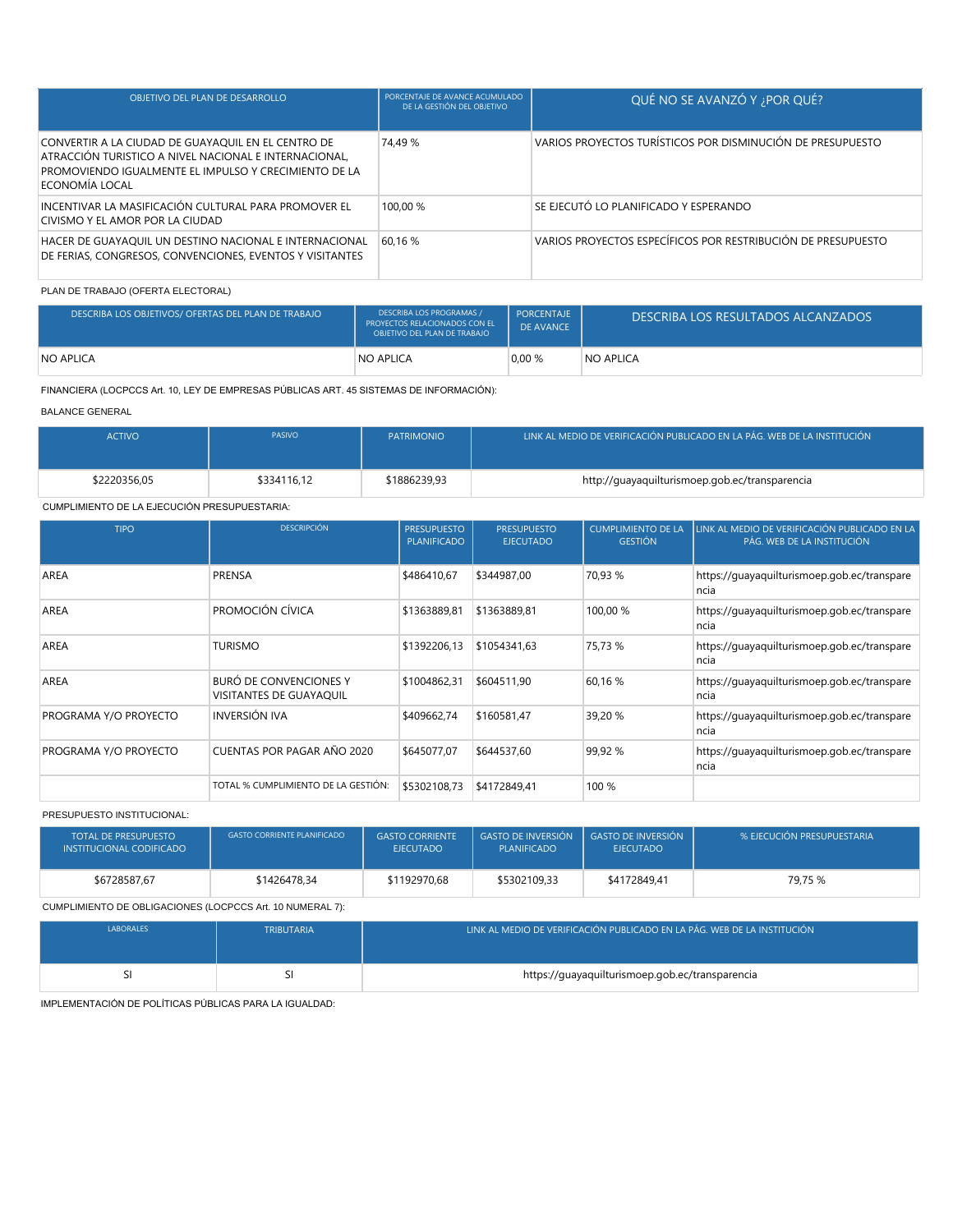| OBJETIVO DEL PLAN DE DESARROLLO                                                                                                                                                        | PORCENTAJE DE AVANCE ACUMULADO<br>DE LA GESTIÓN DEL OBJETIVO | QUÉ NO SE AVANZÓ Y ¿POR QUÉ?                                 |
|----------------------------------------------------------------------------------------------------------------------------------------------------------------------------------------|--------------------------------------------------------------|--------------------------------------------------------------|
| CONVERTIR A LA CIUDAD DE GUAYAQUIL EN EL CENTRO DE<br>ATRACCIÓN TURISTICO A NIVEL NACIONAL E INTERNACIONAL,<br>PROMOVIENDO IGUALMENTE EL IMPULSO Y CRECIMIENTO DE LA<br>ECONOMÍA LOCAL | 74.49 %                                                      | VARIOS PROYECTOS TURÍSTICOS POR DISMINUCIÓN DE PRESUPUESTO   |
| INCENTIVAR LA MASIFICACIÓN CULTURAL PARA PROMOVER EL<br>CIVISMO Y EL AMOR POR LA CIUDAD                                                                                                | 100.00 %                                                     | SE EJECUTÓ LO PLANIFICADO Y ESPERANDO                        |
| HACER DE GUAYAQUIL UN DESTINO NACIONAL E INTERNACIONAL<br>DE FERIAS, CONGRESOS, CONVENCIONES, EVENTOS Y VISITANTES                                                                     | 60,16 %                                                      | VARIOS PROYECTOS ESPECÍFICOS POR RESTRIBUCIÓN DE PRESUPUESTO |

# PLAN DE TRABAJO (OFERTA ELECTORAL)

| DESCRIBA LOS OBJETIVOS/ OFERTAS DEL PLAN DE TRABAJO | <b>DESCRIBA LOS PROGRAMAS /</b><br>PROYECTOS RELACIONADOS CON EL<br>OBJETIVO DEL PLAN DE TRABAJO | PORCENTAJE<br>DE AVANCE | DESCRIBA LOS RESULTADOS ALCANZADOS |
|-----------------------------------------------------|--------------------------------------------------------------------------------------------------|-------------------------|------------------------------------|
| <b>NO APLICA</b>                                    | <b>NO APLICA</b>                                                                                 | 0.00%                   | NO APLICA                          |

FINANCIERA (LOCPCCS Art. 10, LEY DE EMPRESAS PÚBLICAS ART. 45 SISTEMAS DE INFORMACIÓN):

BALANCE GENERAL

| <b>ACTIVO</b> | <b>PASIVO</b> | <b>PATRIMONIO</b> | LINK AL MEDIO DE VERIFICACIÓN PUBLICADO EN LA PÁG. WEB DE LA INSTITUCIÓN |
|---------------|---------------|-------------------|--------------------------------------------------------------------------|
| \$2220356.05  | \$334116.12   | \$1886239.93      | http://guayaquilturismoep.gob.ec/transparencia                           |

## CUMPLIMIENTO DE LA EJECUCIÓN PRESUPUESTARIA:

| <b>TIPO</b>           | <b>DESCRIPCIÓN</b>                                              | <b>PRESUPUESTO</b><br><b>PLANIFICADO</b> | <b>PRESUPUESTO</b><br><b>EJECUTADO</b> | <b>CUMPLIMIENTO DE LA</b><br><b>GESTIÓN</b> | LINK AL MEDIO DE VERIFICACIÓN PUBLICADO EN LA<br>PÁG. WEB DE LA INSTITUCIÓN |
|-----------------------|-----------------------------------------------------------------|------------------------------------------|----------------------------------------|---------------------------------------------|-----------------------------------------------------------------------------|
| AREA                  | <b>PRENSA</b>                                                   | \$486410.67                              | \$344987.00                            | 70,93 %                                     | https://guayaquilturismoep.gob.ec/transpare<br>ncia                         |
| AREA                  | PROMOCIÓN CÍVICA                                                | \$1363889,81                             | \$1363889,81                           | 100,00 %                                    | https://quayaquilturismoep.gob.ec/transpare<br>ncia                         |
| AREA                  | <b>TURISMO</b>                                                  | \$1392206.13                             | \$1054341.63                           | 75,73 %                                     | https://guayaquilturismoep.gob.ec/transpare<br>ncia                         |
| AREA                  | <b>BURÓ DE CONVENCIONES Y</b><br><b>VISITANTES DE GUAYAQUIL</b> | \$1004862.31                             | \$604511.90                            | 60,16 %                                     | https://quayaquilturismoep.gob.ec/transpare<br>ncia                         |
| PROGRAMA Y/O PROYECTO | INVERSIÓN IVA                                                   | \$409662,74                              | \$160581,47                            | 39,20 %                                     | https://quayaquilturismoep.gob.ec/transpare<br>ncia                         |
| PROGRAMA Y/O PROYECTO | CUENTAS POR PAGAR AÑO 2020                                      | \$645077.07                              | \$644537.60                            | 99,92 %                                     | https://quayaquilturismoep.gob.ec/transpare<br>ncia                         |
|                       | TOTAL % CUMPLIMIENTO DE LA GESTIÓN:                             | \$5302108.73                             | \$4172849.41                           | 100 %                                       |                                                                             |

PRESUPUESTO INSTITUCIONAL:

| <b>TOTAL DE PRESUPUESTO</b><br>INSTITUCIONAL CODIFICADO " | <b>GASTO CORRIENTE PLANIFICADO</b> | <b>GASTO CORRIENTE</b><br><b>EJECUTADO</b> | <b>GASTO DE INVERSIÓN</b><br>PLANIFICADO | <b>GASTO DE INVERSIÓN</b><br><b>EJECUTADO</b> | % EJECUCIÓN PRESUPUESTARIA |
|-----------------------------------------------------------|------------------------------------|--------------------------------------------|------------------------------------------|-----------------------------------------------|----------------------------|
| \$6728587.67                                              | \$1426478.34                       | \$1192970.68                               | \$5302109.33                             | \$4172849.41                                  | 79,75 %                    |

CUMPLIMIENTO DE OBLIGACIONES (LOCPCCS Art. 10 NUMERAL 7):

| LABORALES | <b>TRIBUTARIA</b> | LINK AL MEDIO DE VERIFICACIÓN PUBLICADO EN LA PÁG. WEB DE LA INSTITUCIÓN |
|-----------|-------------------|--------------------------------------------------------------------------|
|           |                   | https://guayaquilturismoep.gob.ec/transparencia                          |

IMPLEMENTACIÓN DE POLÍTICAS PÚBLICAS PARA LA IGUALDAD: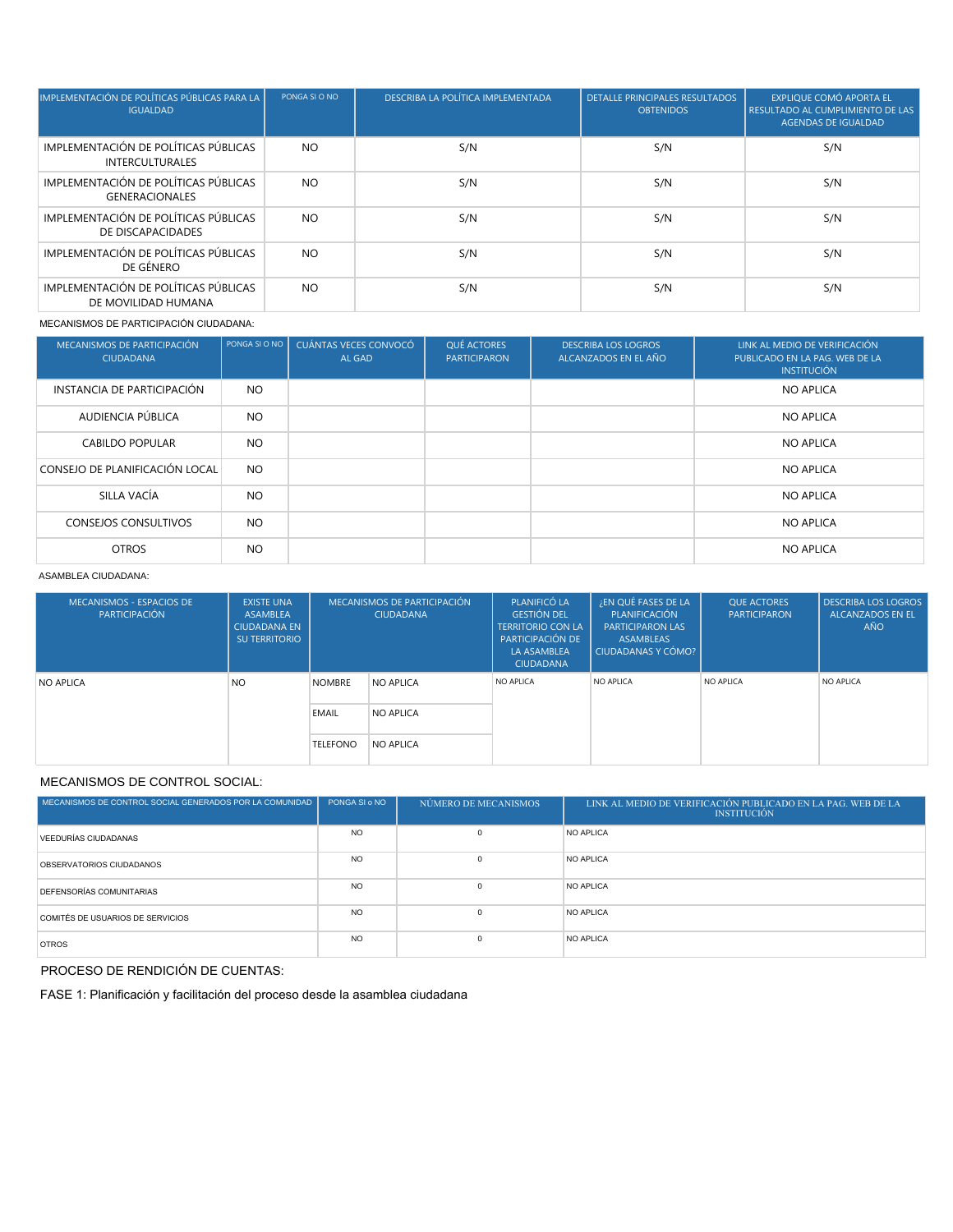| IMPLEMENTACIÓN DE POLÍTICAS PÚBLICAS PARA LA<br><b>IGUALDAD</b> | PONGA SI O NO | DESCRIBA LA POLÍTICA IMPLEMENTADA | <b>DETALLE PRINCIPALES RESULTADOS</b><br><b>OBTENIDOS</b> | <b>EXPLIQUE COMÓ APORTA EL</b><br>RESULTADO AL CUMPLIMIENTO DE LAS<br><b>AGENDAS DE IGUALDAD</b> |
|-----------------------------------------------------------------|---------------|-----------------------------------|-----------------------------------------------------------|--------------------------------------------------------------------------------------------------|
| IMPLEMENTACIÓN DE POLÍTICAS PÚBLICAS<br><b>INTERCULTURALES</b>  | <b>NO</b>     | S/N                               | S/N                                                       | S/N                                                                                              |
| IMPLEMENTACIÓN DE POLÍTICAS PÚBLICAS<br><b>GENERACIONALES</b>   | <b>NO</b>     | S/N                               | S/N                                                       | S/N                                                                                              |
| IMPLEMENTACIÓN DE POLÍTICAS PÚBLICAS<br>DE DISCAPACIDADES       | <b>NO</b>     | S/N                               | S/N                                                       | S/N                                                                                              |
| IMPLEMENTACIÓN DE POLÍTICAS PÚBLICAS<br>DE GÉNERO               | NO.           | S/N                               | S/N                                                       | S/N                                                                                              |
| IMPLEMENTACIÓN DE POLÍTICAS PÚBLICAS<br>DE MOVILIDAD HUMANA     | <b>NO</b>     | S/N                               | S/N                                                       | S/N                                                                                              |

MECANISMOS DE PARTICIPACIÓN CIUDADANA:

| MECANISMOS DE PARTICIPACIÓN<br><b>CIUDADANA</b> | PONGA SI O NO | CUÁNTAS VECES CONVOCÓ<br>AL GAD | QUÉ ACTORES<br><b>PARTICIPARON</b> | <b>DESCRIBA LOS LOGROS</b><br>ALCANZADOS EN EL AÑO | LINK AL MEDIO DE VERIFICACIÓN<br>PUBLICADO EN LA PAG. WEB DE LA<br><b>INSTITUCIÓN</b> |
|-------------------------------------------------|---------------|---------------------------------|------------------------------------|----------------------------------------------------|---------------------------------------------------------------------------------------|
| INSTANCIA DE PARTICIPACIÓN                      | <b>NO</b>     |                                 |                                    |                                                    | <b>NO APLICA</b>                                                                      |
| AUDIENCIA PÚBLICA                               | <b>NO</b>     |                                 |                                    |                                                    | <b>NO APLICA</b>                                                                      |
| <b>CABILDO POPULAR</b>                          | <b>NO</b>     |                                 |                                    |                                                    | <b>NO APLICA</b>                                                                      |
| CONSEJO DE PLANIFICACIÓN LOCAL                  | <b>NO</b>     |                                 |                                    |                                                    | <b>NO APLICA</b>                                                                      |
| SILLA VACÍA                                     | <b>NO</b>     |                                 |                                    |                                                    | <b>NO APLICA</b>                                                                      |
| <b>CONSEJOS CONSULTIVOS</b>                     | <b>NO</b>     |                                 |                                    |                                                    | <b>NO APLICA</b>                                                                      |
| <b>OTROS</b>                                    | <b>NO</b>     |                                 |                                    |                                                    | <b>NO APLICA</b>                                                                      |

### ASAMBLEA CIUDADANA:

| MECANISMOS - ESPACIOS DE<br>PARTICIPACIÓN | <b>EXISTE UNA</b><br>ASAMBLEA<br><b>CIUDADANA EN</b><br>SU TERRITORIO | MECANISMOS DE PARTICIPACIÓN<br><b>CIUDADANA</b> |           | PLANIFICÓ LA<br><b>GESTIÓN DEL</b><br><b>TERRITORIO CON LA</b><br>PARTICIPACIÓN DE<br><b>LA ASAMBLEA</b><br><b>CIUDADANA</b> | ¿EN QUÉ FASES DE LA<br>PLANIFICACIÓN<br><b>PARTICIPARON LAS</b><br>ASAMBLEAS<br>CIUDADANAS Y CÓMO? | <b>OUE ACTORES</b><br><b>PARTICIPARON</b> | <b>DESCRIBA LOS LOGROS</b><br><b>ALCANZADOS EN EL</b><br><b>AÑO</b> |
|-------------------------------------------|-----------------------------------------------------------------------|-------------------------------------------------|-----------|------------------------------------------------------------------------------------------------------------------------------|----------------------------------------------------------------------------------------------------|-------------------------------------------|---------------------------------------------------------------------|
| <b>NO APLICA</b>                          | <b>NO</b>                                                             | <b>NOMBRE</b>                                   | NO APLICA | NO APLICA                                                                                                                    | NO APLICA                                                                                          | NO APLICA                                 | NO APLICA                                                           |
|                                           |                                                                       | <b>EMAIL</b>                                    | NO APLICA |                                                                                                                              |                                                                                                    |                                           |                                                                     |
|                                           |                                                                       | <b>TELEFONO</b>                                 | NO APLICA |                                                                                                                              |                                                                                                    |                                           |                                                                     |

# MECANISMOS DE CONTROL SOCIAL:

| MECANISMOS DE CONTROL SOCIAL GENERADOS POR LA COMUNIDAD | PONGA SI o NO | NÚMERO DE MECANISMOS | LINK AL MEDIO DE VERIFICACIÓN PUBLICADO EN LA PAG. WEB DE LA<br><b>INSTITUCIÓN</b> |
|---------------------------------------------------------|---------------|----------------------|------------------------------------------------------------------------------------|
| VEEDURÍAS CIUDADANAS                                    | <b>NO</b>     | $\Omega$             | NO APLICA                                                                          |
| OBSERVATORIOS CIUDADANOS                                | <b>NO</b>     | $\Omega$             | NO APLICA                                                                          |
| DEFENSORÍAS COMUNITARIAS                                | <b>NO</b>     | $\Omega$             | NO APLICA                                                                          |
| COMITÉS DE USUARIOS DE SERVICIOS                        | <b>NO</b>     | $\Omega$             | NO APLICA                                                                          |
| <b>OTROS</b>                                            | <b>NO</b>     | $\Omega$             | NO APLICA                                                                          |

PROCESO DE RENDICIÓN DE CUENTAS:

FASE 1: Planificación y facilitación del proceso desde la asamblea ciudadana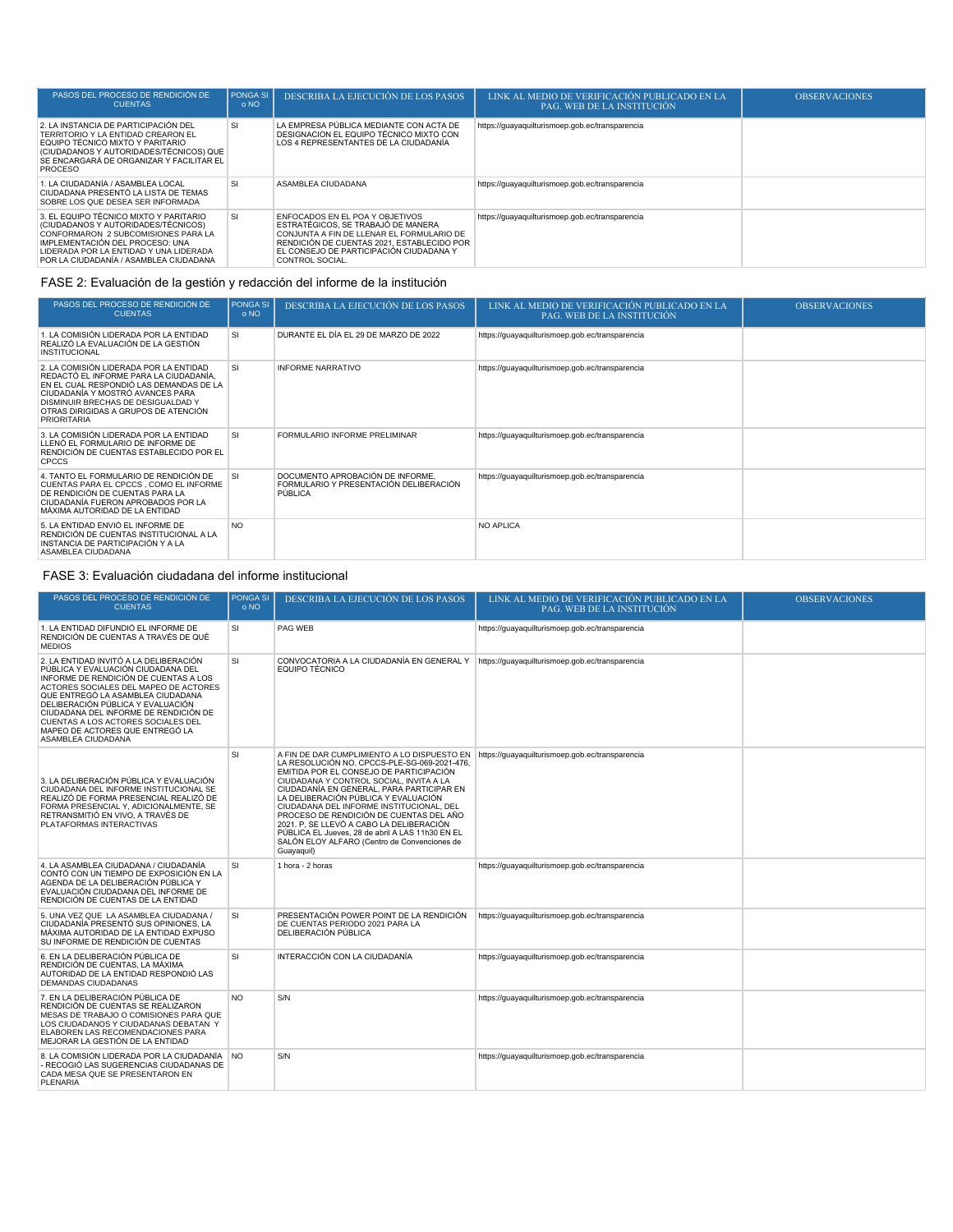| PASOS DEL PROCESO DE RENDICIÓN DE<br><b>CUENTAS</b>                                                                                                                                                                                         | PONGA SI<br>o NO | DESCRIBA LA EJECUCIÓN DE LOS PASOS                                                                                                                                                                                             | LINK AL MEDIO DE VERIFICACIÓN PUBLICADO EN LA<br><b>PAG. WEB DE LA INSTITUCIÓN</b> | <b>OBSERVACIONES</b> |
|---------------------------------------------------------------------------------------------------------------------------------------------------------------------------------------------------------------------------------------------|------------------|--------------------------------------------------------------------------------------------------------------------------------------------------------------------------------------------------------------------------------|------------------------------------------------------------------------------------|----------------------|
| 2. LA INSTANCIA DE PARTICIPACIÓN DEL<br>TERRITORIO Y LA ENTIDAD CREARON EL<br>FOUIPO TÉCNICO MIXTO Y PARITARIO<br>(CIUDADANOS Y AUTORIDADES/TÉCNICOS) QUE<br>SE ENCARGARÁ DE ORGANIZAR Y FACILITAR EL<br><b>PROCESO</b>                     | SI               | LA EMPRESA PÚBLICA MEDIANTE CON ACTA DE<br>DESIGNACION EL EQUIPO TÉCNICO MIXTO CON<br>LOS 4 REPRESENTANTES DE LA CIUDADANÍA                                                                                                    | https://guayaquilturismoep.gob.ec/transparencia                                    |                      |
| 1. LA CIUDADANÍA / ASAMBLEA LOCAL<br>CIUDADANA PRESENTÓ LA LISTA DE TEMAS<br>SOBRE LOS OUE DESEA SER INFORMADA                                                                                                                              | <b>SI</b>        | ASAMBLEA CIUDADANA                                                                                                                                                                                                             | https://guayaquilturismoep.gob.ec/transparencia                                    |                      |
| 3. EL EQUIPO TÉCNICO MIXTO Y PARITARIO<br>(CIUDADANOS Y AUTORIDADES/TÉCNICOS)<br>CONFORMARON 2 SUBCOMISIONES PARA LA<br>IMPLEMENTACIÓN DEL PROCESO: UNA<br>LIDERADA POR LA ENTIDAD Y UNA LIDERADA<br>POR LA CIUDADANÍA / ASAMBLEA CIUDADANA | SI               | ENFOCADOS EN EL POA Y OBJETIVOS<br>ESTRATÉGICOS, SE TRABAJÓ DE MANERA<br>CONJUNTA A FIN DE LLENAR EL FORMULARIO DE<br>RENDICIÓN DE CUENTAS 2021, ESTABLECIDO POR<br>EL CONSEJO DE PARTICIPACIÓN CIUDADANA Y<br>CONTROL SOCIAL. | https://guayaquilturismoep.gob.ec/transparencia                                    |                      |

# FASE 2: Evaluación de la gestión y redacción del informe de la institución

| PASOS DEL PROCESO DE RENDICIÓN DE<br><b>CUENTAS</b>                                                                                                                                                                                                          | <b>PONGA SI</b><br>$0 \text{ NO}$ | DESCRIBA LA EJECUCIÓN DE LOS PASOS                                                    | LINK AL MEDIO DE VERIFICACIÓN PUBLICADO EN LA<br>PAG. WEB DE LA INSTITUCIÓN | <b>OBSERVACIONES</b> |
|--------------------------------------------------------------------------------------------------------------------------------------------------------------------------------------------------------------------------------------------------------------|-----------------------------------|---------------------------------------------------------------------------------------|-----------------------------------------------------------------------------|----------------------|
| 1. LA COMISIÓN LIDERADA POR LA ENTIDAD<br>REALIZÓ LA EVALUACIÓN DE LA GESTIÓN<br><b>INSTITUCIONAL</b>                                                                                                                                                        | SI                                | DURANTE EL DÍA EL 29 DE MARZO DE 2022                                                 | https://guayaquilturismoep.gob.ec/transparencia                             |                      |
| 2. LA COMISIÓN LIDERADA POR LA ENTIDAD<br>REDACTÓ EL INFORME PARA LA CIUDADANÍA.<br>EN EL CUAL RESPONDIÓ LAS DEMANDAS DE LA<br>CIUDADANÍA Y MOSTRÓ AVANCES PARA<br>DISMINUIR BRECHAS DE DESIGUALDAD Y<br>OTRAS DIRIGIDAS A GRUPOS DE ATENCIÓN<br>PRIORITARIA | <sub>SI</sub>                     | <b>INFORME NARRATIVO</b>                                                              | https://guayaquilturismoep.gob.ec/transparencia                             |                      |
| 3. LA COMISIÓN LIDERADA POR LA ENTIDAD<br>LLENÓ EL FORMULARIO DE INFORME DE<br>RENDICIÓN DE CUENTAS ESTABLECIDO POR EL<br><b>CPCCS</b>                                                                                                                       | SI                                | FORMULARIO INFORME PRELIMINAR                                                         | https://guayaquilturismoep.gob.ec/transparencia                             |                      |
| 4. TANTO EL FORMULARIO DE RENDICIÓN DE<br>CUENTAS PARA EL CPCCS, COMO EL INFORME<br>DE RENDICIÓN DE CUENTAS PARA LA<br>CIUDADANÍA FUERON APROBADOS POR LA<br>MÁXIMA AUTORIDAD DE LA ENTIDAD                                                                  | <b>SI</b>                         | DOCUMENTO APROBACIÓN DE INFORME.<br>FORMULARIO Y PRESENTACIÓN DELIBERACIÓN<br>PÚBLICA | https://guayaquilturismoep.gob.ec/transparencia                             |                      |
| 5. LA ENTIDAD ENVIÓ EL INFORME DE<br>RENDICIÓN DE CUENTAS INSTITUCIONAL A LA<br>INSTANCIA DE PARTICIPACIÓN Y A LA<br>ASAMBLEA CIUDADANA                                                                                                                      | NO <sub>1</sub>                   |                                                                                       | <b>NO APLICA</b>                                                            |                      |

# FASE 3: Evaluación ciudadana del informe institucional

| PASOS DEL PROCESO DE RENDICIÓN DE<br><b>CUENTAS</b>                                                                                                                                                                                                                                                                                                                              | <b>PONGA SI</b><br>o NO | <b>DESCRIBA LA EJECUCIÓN DE LOS PASOS</b>                                                                                                                                                                                                                                                                                                                                                                                                                                                                                                                                   | LINK AL MEDIO DE VERIFICACIÓN PUBLICADO EN LA<br>PAG. WEB DE LA INSTITUCIÓN | <b>OBSERVACIONES</b> |
|----------------------------------------------------------------------------------------------------------------------------------------------------------------------------------------------------------------------------------------------------------------------------------------------------------------------------------------------------------------------------------|-------------------------|-----------------------------------------------------------------------------------------------------------------------------------------------------------------------------------------------------------------------------------------------------------------------------------------------------------------------------------------------------------------------------------------------------------------------------------------------------------------------------------------------------------------------------------------------------------------------------|-----------------------------------------------------------------------------|----------------------|
| 1. LA ENTIDAD DIFUNDIÓ EL INFORME DE<br>RENDICIÓN DE CUENTAS A TRAVÉS DE QUÉ<br><b>MEDIOS</b>                                                                                                                                                                                                                                                                                    | <b>SI</b>               | PAG WEB                                                                                                                                                                                                                                                                                                                                                                                                                                                                                                                                                                     | https://guayaquilturismoep.gob.ec/transparencia                             |                      |
| 2. LA ENTIDAD INVITÓ A LA DELIBERACIÓN<br>PÚBLICA Y EVALUACIÓN CIUDADANA DEL<br>INFORME DE RENDICIÓN DE CUENTAS A LOS<br>ACTORES SOCIALES DEL MAPEO DE ACTORES<br>QUE ENTREGÓ LA ASAMBLEA CIUDADANA<br>DELIBERACIÓN PÚBLICA Y EVALUACIÓN<br>CIUDADANA DEL INFORME DE RENDICIÓN DE<br>CUENTAS A LOS ACTORES SOCIALES DEL<br>MAPEO DE ACTORES QUE ENTREGÓ LA<br>ASAMBLEA CIUDADANA | SI                      | CONVOCATORIA A LA CIUDADANÍA EN GENERAL Y<br>EQUIPO TÉCNICO                                                                                                                                                                                                                                                                                                                                                                                                                                                                                                                 | https://guayaquilturismoep.gob.ec/transparencia                             |                      |
| 3. LA DELIBERACIÓN PÚBLICA Y EVALUACIÓN<br>CIUDADANA DEL INFORME INSTITUCIONAL SE<br>REALIZÓ DE FORMA PRESENCIAL REALIZÓ DE<br>FORMA PRESENCIAL Y, ADICIONALMENTE, SE<br>RETRANSMITIÓ EN VIVO. A TRAVÉS DE<br>PLATAFORMAS INTERACTIVAS                                                                                                                                           | SI                      | A FIN DE DAR CUMPLIMIENTO A LO DISPUESTO EN https://guayaquilturismoep.gob.ec/transparencia<br>LA RESOLUCIÓN NO. CPCCS-PLE-SG-069-2021-476,<br>EMITIDA POR EL CONSEJO DE PARTICIPACIÓN<br>CIUDADANA Y CONTROL SOCIAL. INVITA A LA<br>CIUDADANÍA EN GENERAL. PARA PARTICIPAR EN<br>LA DELIBERACIÓN PÚBLICA Y EVALUACIÓN<br>CIUDADANA DEL INFORME INSTITUCIONAL, DEL<br>PROCESO DE RENDICIÓN DE CUENTAS DEL AÑO<br>2021. P. SE LLEVÓ A CABO LA DELIBERACIÓN<br>PÚBLICA EL Jueves, 28 de abril A LAS 11h30 EN EL<br>SALÓN ELOY ALFARO (Centro de Convenciones de<br>Guayaquil) |                                                                             |                      |
| 4. LA ASAMBLEA CIUDADANA / CIUDADANÍA<br>CONTÓ CON UN TIEMPO DE EXPOSICIÓN EN LA<br>AGENDA DE LA DELIBERACIÓN PÚBLICA Y<br>EVALUACIÓN CIUDADANA DEL INFORME DE<br>RENDICIÓN DE CUENTAS DE LA ENTIDAD                                                                                                                                                                             | <b>SI</b>               | 1 hora - 2 horas                                                                                                                                                                                                                                                                                                                                                                                                                                                                                                                                                            | https://guayaquilturismoep.gob.ec/transparencia                             |                      |
| 5. UNA VEZ QUE LA ASAMBLEA CIUDADANA /<br>CIUDADANÍA PRESENTÓ SUS OPINIONES, LA<br>MÁXIMA AUTORIDAD DE LA ENTIDAD EXPUSO<br>SU INFORME DE RENDICIÓN DE CUENTAS                                                                                                                                                                                                                   | <b>SI</b>               | PRESENTACIÓN POWER POINT DE LA RENDICIÓN<br>DE CUENTAS PERIODO 2021 PARA LA<br>DELIBERACIÓN PÚBLICA                                                                                                                                                                                                                                                                                                                                                                                                                                                                         | https://guayaquilturismoep.gob.ec/transparencia                             |                      |
| 6. EN LA DELIBERACIÓN PÚBLICA DE<br>RENDICIÓN DE CUENTAS. LA MÁXIMA<br>AUTORIDAD DE LA ENTIDAD RESPONDIÓ LAS<br><b>DEMANDAS CIUDADANAS</b>                                                                                                                                                                                                                                       | <b>SI</b>               | INTERACCIÓN CON LA CIUDADANÍA                                                                                                                                                                                                                                                                                                                                                                                                                                                                                                                                               | https://guayaquilturismoep.gob.ec/transparencia                             |                      |
| 7. EN LA DELIBERACIÓN PÚBLICA DE<br>RENDICIÓN DE CUENTAS SE REALIZARON<br>MESAS DE TRABAJO O COMISIONES PARA QUE<br>LOS CIUDADANOS Y CIUDADANAS DEBATAN Y<br>ELABOREN LAS RECOMENDACIONES PARA<br>MEJORAR LA GESTIÓN DE LA ENTIDAD                                                                                                                                               | <b>NO</b>               | S/N                                                                                                                                                                                                                                                                                                                                                                                                                                                                                                                                                                         | https://guayaquilturismoep.gob.ec/transparencia                             |                      |
| 8. LA COMISIÓN LIDERADA POR LA CIUDADANÍA NO<br>- RECOGIÓ LAS SUGERENCIAS CIUDADANAS DE<br>CADA MESA QUE SE PRESENTARON EN<br>PLENARIA                                                                                                                                                                                                                                           |                         | S/N                                                                                                                                                                                                                                                                                                                                                                                                                                                                                                                                                                         | https://guayaquilturismoep.gob.ec/transparencia                             |                      |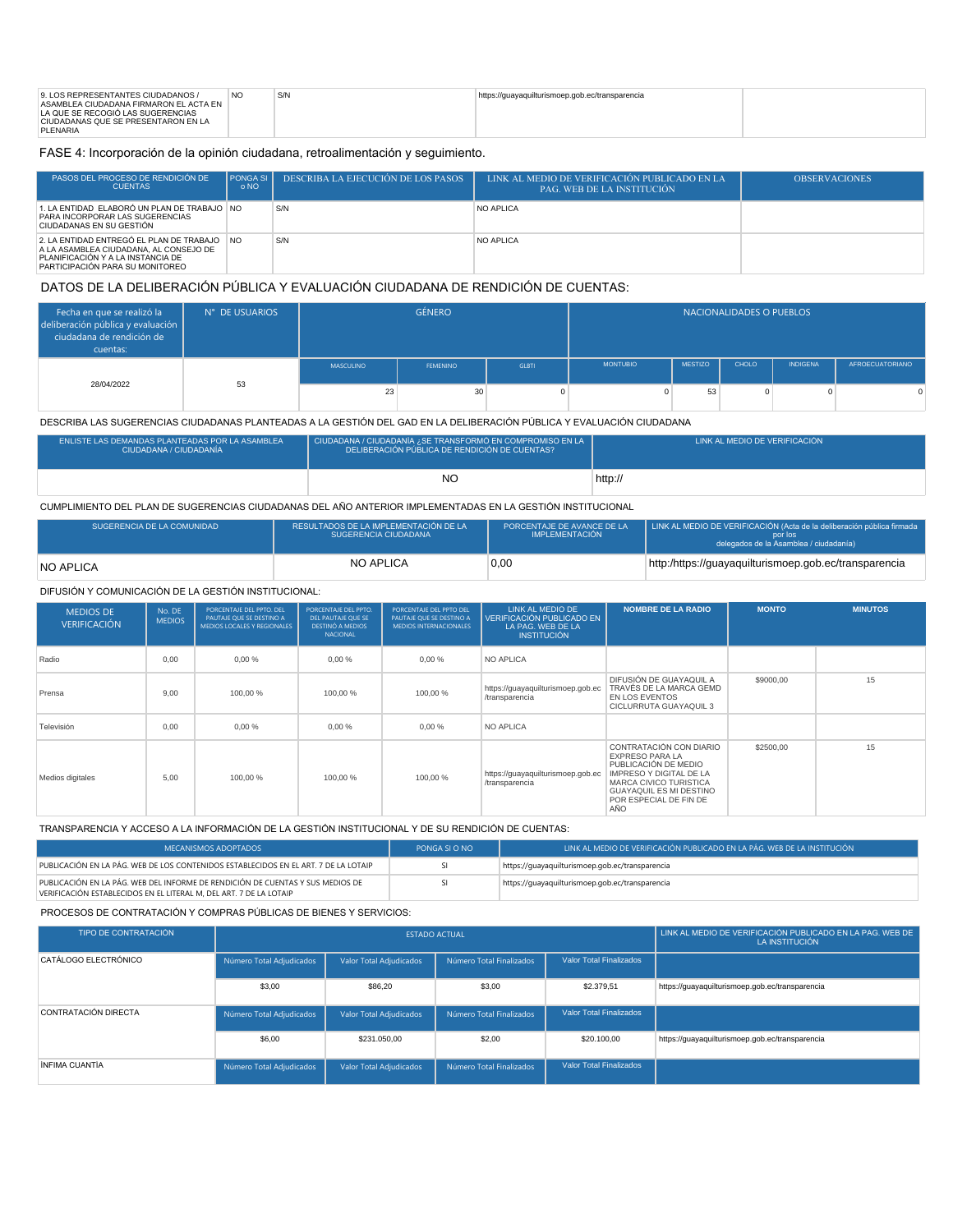FASE 4: Incorporación de la opinión ciudadana, retroalimentación y seguimiento.

| PASOS DEL PROCESO DE RENDICIÓN DE<br><b>CUENTAS</b>                                                                                                           | PONGA SI<br>o NO | DESCRIBA LA EJECUCIÓN DE LOS PASOS | LINK AL MEDIO DE VERIFICACIÓN PUBLICADO EN LA<br><b>PAG. WEB DE LA INSTITUCIÓN</b> | <b>OBSERVACIONES</b> |
|---------------------------------------------------------------------------------------------------------------------------------------------------------------|------------------|------------------------------------|------------------------------------------------------------------------------------|----------------------|
| 1. LA ENTIDAD ELABORÓ UN PLAN DE TRABAJO NO<br>PARA INCORPORAR LAS SUGERENCIAS<br>CIUDADANAS EN SU GESTIÓN                                                    |                  | S/N                                | NO APLICA                                                                          |                      |
| 2. LA ENTIDAD ENTREGÓ EL PLAN DE TRABAJO NO<br>A LA ASAMBLEA CIUDADANA, AL CONSEJO DE<br>PLANIFICACIÓN Y A LA INSTANCIA DE<br>PARTICIPACIÓN PARA SU MONITOREO |                  | S/N                                | NO APLICA                                                                          |                      |

## DATOS DE LA DELIBERACIÓN PÚBLICA Y EVALUACIÓN CIUDADANA DE RENDICIÓN DE CUENTAS:

| Fecha en que se realizó la<br>deliberación pública y evaluación  <br>ciudadana de rendición de<br>cuentas: | N° DE USUARIOS | <b>GÉNERO</b> |                 |              |                 | NACIONALIDADES O PUEBLOS |       |                 |                        |
|------------------------------------------------------------------------------------------------------------|----------------|---------------|-----------------|--------------|-----------------|--------------------------|-------|-----------------|------------------------|
|                                                                                                            |                | MASCULINO     | <b>FEMENINO</b> | <b>GLBTI</b> | <b>MONTUBIO</b> | <b>MESTIZO</b>           | CHOLO | <b>INDIGENA</b> | <b>AFROECUATORIANO</b> |
| 28/04/2022                                                                                                 | 53             | 23            | 30              |              |                 | 53                       |       |                 | <sup>n</sup>           |

DESCRIBA LAS SUGERENCIAS CIUDADANAS PLANTEADAS A LA GESTIÓN DEL GAD EN LA DELIBERACIÓN PÚBLICA Y EVALUACIÓN CIUDADANA

| ENLISTE LAS DEMANDAS PLANTEADAS POR LA ASAMBLEA<br>CIUDADANA / CIUDADANÍA | CIUDADANA / CIUDADANÍA ¿SE TRANSFORMÓ EN COMPROMISO EN LA<br>DELIBERACIÓN PÚBLICA DE RENDICIÓN DE CUENTAS? | LINK AL MEDIO DE VERIFICACIÓN |  |  |
|---------------------------------------------------------------------------|------------------------------------------------------------------------------------------------------------|-------------------------------|--|--|
|                                                                           | NC                                                                                                         | http://                       |  |  |

### CUMPLIMIENTO DEL PLAN DE SUGERENCIAS CIUDADANAS DEL AÑO ANTERIOR IMPLEMENTADAS EN LA GESTIÓN INSTITUCIONAL

| SUGERENCIA DE LA COMUNIDAD | RESULTADOS DE LA IMPLEMENTACIÓN DE LA<br>SUGERENCIA CIUDADANA | PORCENTAJE DE AVANCE DE LA<br>IMPLEMENTACIÓN | LINK AL MEDIO DE VERIFICACIÓN (Acta de la deliberación pública firmada<br>por los<br>delegados de la Asamblea / ciudadanía) |
|----------------------------|---------------------------------------------------------------|----------------------------------------------|-----------------------------------------------------------------------------------------------------------------------------|
| NO APLICA                  | <b>NO APLICA</b>                                              | 0.00                                         | http:/https://guayaquilturismoep.gob.ec/transparencia                                                                       |

#### DIFUSIÓN Y COMUNICACIÓN DE LA GESTIÓN INSTITUCIONAL:

| <b>MEDIOS DE</b><br><b>VERIFICACIÓN</b> | No. DE<br><b>MEDIOS</b> | PORCENTAJE DEL PPTO. DEL<br>PAUTAJE QUE SE DESTINO A<br>MEDIOS LOCALES Y REGIONALES | PORCENTAJE DEL PPTO.<br>DEL PAUTAJE OUE SE<br><b>DESTINÓ A MEDIOS</b><br><b>NACIONAL</b> | PORCENTAJE DEL PPTO DEL<br>PAUTAJE QUE SE DESTINO A<br><b>MEDIOS INTERNACIONALES</b> | LINK AL MEDIO DE<br>VERIFICACIÓN PUBLICADO EN<br>LA PAG. WEB DE LA<br><b>INSTITUCIÓN</b> | <b>NOMBRE DE LA RADIO</b>                                                                                                                                                                  | <b>MONTO</b> | <b>MINUTOS</b> |
|-----------------------------------------|-------------------------|-------------------------------------------------------------------------------------|------------------------------------------------------------------------------------------|--------------------------------------------------------------------------------------|------------------------------------------------------------------------------------------|--------------------------------------------------------------------------------------------------------------------------------------------------------------------------------------------|--------------|----------------|
| Radio                                   | 0.00                    | 0.00%                                                                               | 0.00%                                                                                    | 0.00%                                                                                | NO APLICA                                                                                |                                                                                                                                                                                            |              |                |
| Prensa                                  | 9.00                    | 100,00%                                                                             | 100,00 %                                                                                 | 100,00 %                                                                             | https://guayaquilturismoep.gob.ec<br>/transparencia                                      | DIFUSIÓN DE GUAYAQUIL A<br>TRAVÉS DE LA MARCA GEMD<br>EN LOS EVENTOS<br>CICLURRUTA GUAYAQUIL 3                                                                                             | \$9000.00    | 15             |
| Televisión                              | 0.00                    | 0.00%                                                                               | 0.00%                                                                                    | 0.00%                                                                                | <b>NO APLICA</b>                                                                         |                                                                                                                                                                                            |              |                |
| Medios digitales                        | 5.00                    | 100.00%                                                                             | 100.00%                                                                                  | 100,00 %                                                                             | https://guayaquilturismoep.gob.ec<br>/transparencia                                      | CONTRATACIÓN CON DIARIO<br><b>EXPRESO PARA LA</b><br>PUBLICACIÓN DE MEDIO<br>IMPRESO Y DIGITAL DE LA<br>MARCA CIVICO TURISTICA<br>GUAYAQUIL ES MI DESTINO<br>POR ESPECIAL DE FIN DE<br>AÑO | \$2500,00    | 15             |

TRANSPARENCIA Y ACCESO A LA INFORMACIÓN DE LA GESTIÓN INSTITUCIONAL Y DE SU RENDICIÓN DE CUENTAS:

| MECANISMOS ADOPTADOS                                                                                                                                 | PONGA SLO NO | LINK AL MEDIO DE VERIFICACIÓN PUBLICADO EN LA PÁG. WEB DE LA INSTITUCIÓN |
|------------------------------------------------------------------------------------------------------------------------------------------------------|--------------|--------------------------------------------------------------------------|
| PUBLICACIÓN EN LA PÁG. WEB DE LOS CONTENIDOS ESTABLECIDOS EN EL ART. 7 DE LA LOTAIP                                                                  |              | https://guayaquilturismoep.gob.ec/transparencia                          |
| PUBLICACIÓN EN LA PÁG. WEB DEL INFORME DE RENDICIÓN DE CUENTAS Y SUS MEDIOS DE<br>VERIFICACIÓN ESTABLECIDOS EN EL LITERAL M. DEL ART. 7 DE LA LOTAIP |              | https://guayaquilturismoep.gob.ec/transparencia                          |

PROCESOS DE CONTRATACIÓN Y COMPRAS PÚBLICAS DE BIENES Y SERVICIOS:

| TIPO DE CONTRATACIÓN |                          | <b>ESTADO ACTUAL</b>    | LINK AL MEDIO DE VERIFICACIÓN PUBLICADO EN LA PAG. WEB DE<br>LA INSTITUCIÓN |                                |                                                 |
|----------------------|--------------------------|-------------------------|-----------------------------------------------------------------------------|--------------------------------|-------------------------------------------------|
| CATÁLOGO ELECTRÓNICO | Número Total Adjudicados | Valor Total Adjudicados | Número Total Finalizados                                                    | <b>Valor Total Finalizados</b> |                                                 |
|                      | \$3,00                   | \$86.20                 | \$3,00                                                                      | \$2,379.51                     | https://quayaquilturismoep.gob.ec/transparencia |
| CONTRATACIÓN DIRECTA | Número Total Adjudicados | Valor Total Adjudicados | Número Total Finalizados                                                    | Valor Total Finalizados        |                                                 |
|                      | \$6,00                   | \$231.050.00            | \$2,00                                                                      | \$20,100.00                    | https://guayaquilturismoep.gob.ec/transparencia |
| ÍNFIMA CUANTÍA       | Número Total Adjudicados | Valor Total Adjudicados | Número Total Finalizados                                                    | <b>Valor Total Finalizados</b> |                                                 |